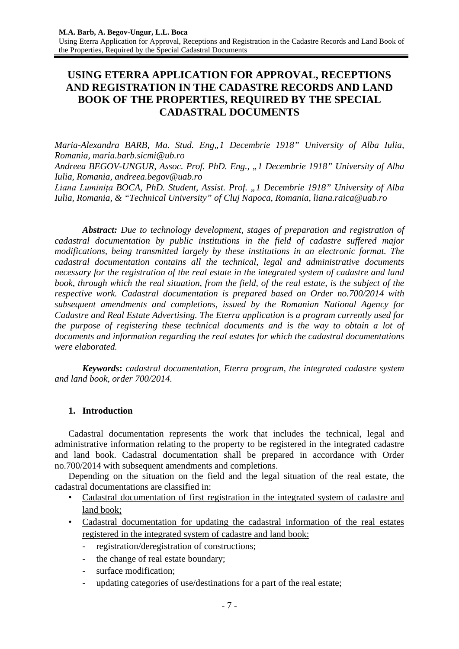# **USING ETERRA APPLICATION FOR APPROVAL, RECEPTIONS AND REGISTRATION IN THE CADASTRE RECORDS AND LAND BOOK OF THE PROPERTIES, REQUIRED BY THE SPECIAL CADASTRAL DOCUMENTS**

*Maria-Alexandra BARB, Ma. Stud. Eng.,1 Decembrie 1918" University of Alba Iulia, Romania, maria.barb.sicmi@ub.ro*

*Andreea BEGOV-UNGUR, Assoc. Prof. PhD. Eng., "1 Decembrie 1918" University of Alba Iulia, Romania, [andreea.begov@uab.ro](mailto:andreea.begov@uab.ro)*

*Liana Luminița BOCA, PhD. Student, Assist. Prof. "1 Decembrie 1918" University of Alba Iulia, Romania, & "Technical University" of Cluj Napoca, Romania, [liana.raica@uab.ro](mailto:liana.raica@uab.ro)* 

*Abstract: Due to technology development, stages of preparation and registration of cadastral documentation by public institutions in the field of cadastre suffered major modifications, being transmitted largely by these institutions in an electronic format. The cadastral documentation contains all the technical, legal and administrative documents necessary for the registration of the real estate in the integrated system of cadastre and land book, through which the real situation, from the field, of the real estate, is the subject of the respective work. Cadastral documentation is prepared based on Order no.700/2014 with subsequent amendments and completions, issued by the Romanian National Agency for Cadastre and Real Estate Advertising. The Eterra application is a program currently used for the purpose of registering these technical documents and is the way to obtain a lot of documents and information regarding the real estates for which the cadastral documentations were elaborated.*

*Keywords***:** *cadastral documentation, Eterra program, the integrated cadastre system and land book, order 700/2014.*

## **1. Introduction**

Cadastral documentation represents the work that includes the technical, legal and administrative information relating to the property to be registered in the integrated cadastre and land book. Cadastral documentation shall be prepared in accordance with Order no.700/2014 with subsequent amendments and completions.

Depending on the situation on the field and the legal situation of the real estate, the cadastral documentations are classified in:

- Cadastral documentation of first registration in the integrated system of cadastre and land book;
- Cadastral documentation for updating the cadastral information of the real estates registered in the integrated system of cadastre and land book:
	- registration/deregistration of constructions;
	- the change of real estate boundary;
	- surface modification:
	- updating categories of use/destinations for a part of the real estate;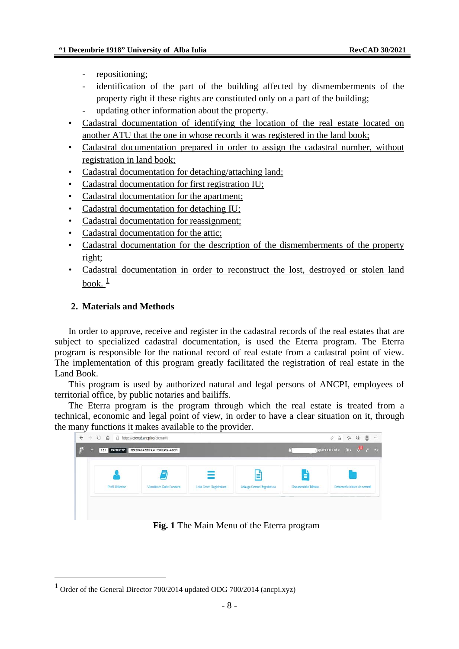- repositioning;
- identification of the part of the building affected by dismemberments of the property right if these rights are constituted only on a part of the building;
- updating other information about the property.
- Cadastral documentation of identifying the location of the real estate located on another ATU that the one in whose records it was registered in the land book;
- Cadastral documentation prepared in order to assign the cadastral number, without registration in land book;
- Cadastral documentation for detaching/attaching land;
- Cadastral documentation for first registration IU;
- Cadastral documentation for the apartment;
- Cadastral documentation for detaching IU;
- Cadastral documentation for reassignment;
- Cadastral documentation for the attic;
- Cadastral documentation for the description of the dismemberments of the property right;
- Cadastral documentation in order to reconstruct the lost, destroyed or stolen land book.  $\frac{1}{2}$  $\frac{1}{2}$  $\frac{1}{2}$

## **2. Materials and Methods**

In order to approve, receive and register in the cadastral records of the real estates that are subject to specialized cadastral documentation, is used the Eterra program. The Eterra program is responsible for the national record of real estate from a cadastral point of view. The implementation of this program greatly facilitated the registration of real estate in the Land Book.

This program is used by authorized natural and legal persons of ANCPI, employees of territorial office, by public notaries and bailiffs.

The Eterra program is the program through which the real estate is treated from a technical, economic and legal point of view, in order to have a clear situation on it, through the many functions it makes available to the provider.



**Fig. 1** The Main Menu of the Eterra program

<span id="page-1-0"></span><sup>&</sup>lt;sup>1</sup> Order of the General Director  $700/2014$  updated ODG  $700/2014$  (ancpi.xyz)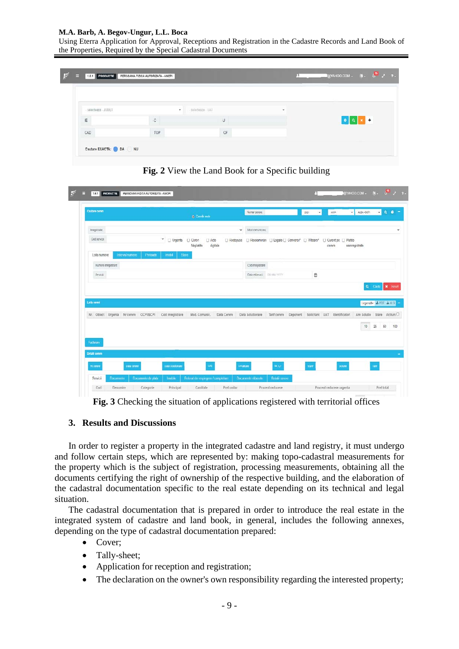### **M.A. Barb, A. Begov-Ungur, L.L. Boca**

Using Eterra Application for Approval, Receptions and Registration in the Cadastre Records and Land Book of the Properties, Required by the Special Cadastral Documents

|                      |               |     |                    | $\Box$ gyahoo.com - (i) - $\overline{6}$ / $\rightarrow$ 7 - |  |  |
|----------------------|---------------|-----|--------------------|--------------------------------------------------------------|--|--|
| - selecteaza - JUDET | ٠             |     | $\sim$             | .                                                            |  |  |
| IE                   | $\mathcal{L}$ | -U  |                    |                                                              |  |  |
| CAD                  | TOP           | CF. |                    |                                                              |  |  |
|                      |               |     | - selecteaza - UAT |                                                              |  |  |



**Fig. 2** View the Land Book for a Specific building

**Fig. 3** Checking the situation of applications registered with territorial offices

### **3. Results and Discussions**

In order to register a property in the integrated cadastre and land registry, it must undergo and follow certain steps, which are represented by: making topo-cadastral measurements for the property which is the subject of registration, processing measurements, obtaining all the documents certifying the right of ownership of the respective building, and the elaboration of the cadastral documentation specific to the real estate depending on its technical and legal situation.

The cadastral documentation that is prepared in order to introduce the real estate in the integrated system of cadastre and land book, in general, includes the following annexes, depending on the type of cadastral documentation prepared:

- Cover;
- Tally-sheet;
- Application for reception and registration;
- The declaration on the owner's own responsibility regarding the interested property;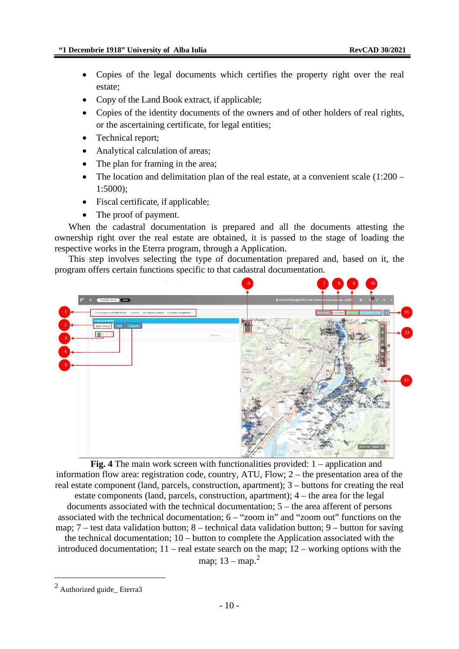- Copies of the legal documents which certifies the property right over the real estate;
- Copy of the Land Book extract, if applicable;
- Copies of the identity documents of the owners and of other holders of real rights, or the ascertaining certificate, for legal entities;
- Technical report;
- Analytical calculation of areas;
- The plan for framing in the area;
- The location and delimitation plan of the real estate, at a convenient scale  $(1:200 -$ 1:5000);
- Fiscal certificate, if applicable;
- The proof of payment.

When the cadastral documentation is prepared and all the documents attesting the ownership right over the real estate are obtained, it is passed to the stage of loading the respective works in the Eterra program, through a Application.

This step involves selecting the type of documentation prepared and, based on it, the program offers certain functions specific to that cadastral documentation.



**Fig. 4** The main work screen with functionalities provided: 1 – application and information flow area: registration code, country, ATU, Flow; 2 – the presentation area of the real estate component (land, parcels, construction, apartment); 3 – buttons for creating the real estate components (land, parcels, construction, apartment); 4 – the area for the legal documents associated with the technical documentation; 5 – the area afferent of persons associated with the technical documentation; 6 – "zoom in" and "zoom out" functions on the map; 7 – test data validation button; 8 – technical data validation button; 9 – button for saving the technical documentation; 10 – button to complete the Application associated with the introduced documentation; 11 – real estate search on the map; 12 – working options with the map;  $13 - \text{map.}^2$  $13 - \text{map.}^2$ 

<span id="page-3-0"></span><sup>2</sup> Authorized guide\_ Eterra3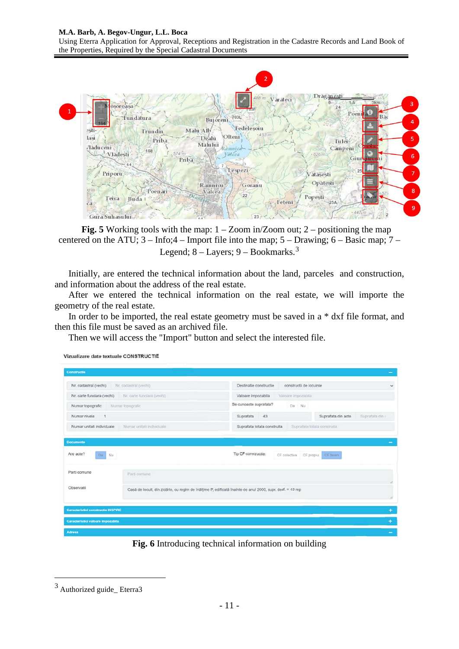### **M.A. Barb, A. Begov-Ungur, L.L. Boca**

Using Eterra Application for Approval, Receptions and Registration in the Cadastre Records and Land Book of the Properties, Required by the Special Cadastral Documents



**Fig. 5** Working tools with the map:  $1 - Zoom$  in/Zoom out;  $2 - positioning$  the map centered on the ATU; 3 – Info;4 – Import file into the map; 5 – Drawing; 6 – Basic map; 7 – Legend;  $8 -$ Layers;  $9 -$ Bookmarks.<sup>[3](#page-4-0)</sup>

Initially, are entered the technical information about the land, parceles and construction, and information about the address of the real estate.

After we entered the technical information on the real estate, we will importe the geometry of the real estate.

In order to be imported, the real estate geometry must be saved in a \* dxf file format, and then this file must be saved as an archived file.

Then we will access the "Import" button and select the interested file.



**Fig. 6** Introducing technical information on building

Vizualizare date textuale CONSTRUCTIE

<span id="page-4-0"></span><sup>3</sup> Authorized guide\_ Eterra3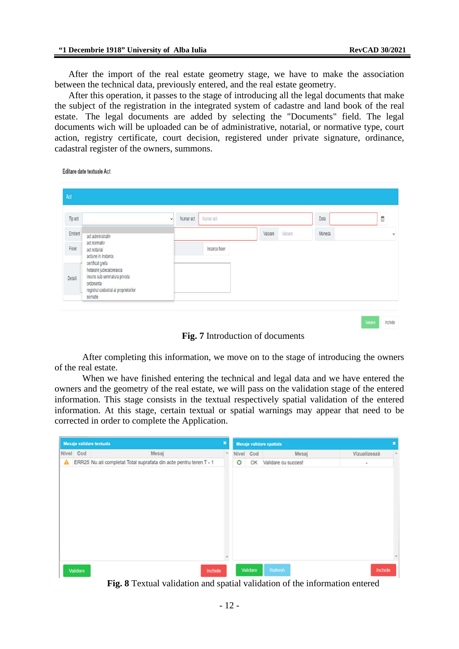After the import of the real estate geometry stage, we have to make the association between the technical data, previously entered, and the real estate geometry.

After this operation, it passes to the stage of introducing all the legal documents that make the subject of the registration in the integrated system of cadastre and land book of the real estate. The legal documents are added by selecting the "Documents" field. The legal documents wich will be uploaded can be of administrative, notarial, or normative type, court action, registry certificate, court decision, registered under private signature, ordinance, cadastral register of the owners, summons.

Editare date textuale Act

| Act     |                                                                                                                                                                                                      |   |           |           |                |         |        |        |  |
|---------|------------------------------------------------------------------------------------------------------------------------------------------------------------------------------------------------------|---|-----------|-----------|----------------|---------|--------|--------|--|
| Tip act |                                                                                                                                                                                                      | v | Numar act | Numar act |                |         | Data   | Ë      |  |
| Emitent | act administrativ                                                                                                                                                                                    |   |           |           | Valoare        | Valoare | Moneda | $\vee$ |  |
| Fisier  | act normativ<br>act notarial<br>actiune in instanta<br>certificat grefa<br>hotarare judecatoreasca<br>inscris sub semnatura privata<br>ordonanta<br>registrul cadastral al proprietarilor<br>somatie |   |           |           | Incarca fisier |         |        |        |  |
| Detalli |                                                                                                                                                                                                      |   |           |           |                |         |        |        |  |

**Fig. 7** Introduction of documents

After completing this information, we move on to the stage of introducing the owners of the real estate.

When we have finished entering the technical and legal data and we have entered the owners and the geometry of the real estate, we will pass on the validation stage of the entered information. This stage consists in the textual respectively spatial validation of the entered information. At this stage, certain textual or spatial warnings may appear that need to be corrected in order to complete the Application.

|              | Mesaje validare textuala |                                                                    | ×      |           |          | Mesaje validare spatiala |              | ×      |
|--------------|--------------------------|--------------------------------------------------------------------|--------|-----------|----------|--------------------------|--------------|--------|
|              | Nivel Cod                | Mesaj                                                              | $\sim$ | Nivel Cod |          | Mesaj                    | Vizualizează | $\sim$ |
| $\mathbf{A}$ |                          | ERR25 Nu ati completat Total suprafata din acte pentru teren T - 1 |        | $\circ$   |          | OK Validare cu succes!   | $\bullet$    |        |
|              |                          |                                                                    |        |           |          |                          |              |        |
|              |                          |                                                                    |        |           |          |                          |              |        |
|              | Validare                 | Inchide                                                            |        |           | Validare | Refresh                  | Inchide      |        |

**Fig. 8** Textual validation and spatial validation of the information entered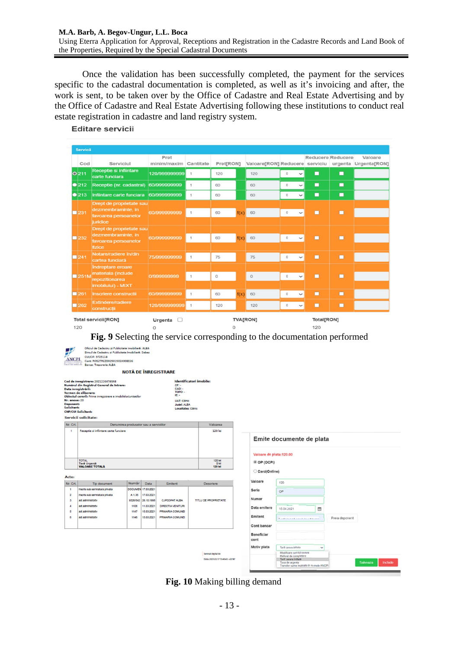### **M.A. Barb, A. Begov-Ungur, L.L. Boca**

Using Eterra Application for Approval, Receptions and Registration in the Cadastre Records and Land Book of the Properties, Required by the Special Cadastral Documents

Once the validation has been successfully completed, the payment for the services specific to the cadastral documentation is completed, as well as it's invoicing and after, the work is sent, to be taken over by the Office of Cadastre and Real Estate Advertising and by the Office of Cadastre and Real Estate Advertising following these institutions to conduct real estate registration in cadastre and land registry system.

Editare servicii

| Servicii                     |                                                                                        |                               |              |           |          |                 |                            |                   |   |                                                                |
|------------------------------|----------------------------------------------------------------------------------------|-------------------------------|--------------|-----------|----------|-----------------|----------------------------|-------------------|---|----------------------------------------------------------------|
| Cod                          | Serviciul                                                                              | Pret<br>minim/maxim Cantitate |              | Pret[RON] |          |                 |                            | Reducere Reducere |   | Valoare<br>Valoare[RON] Reducere serviciu urgenta Urgenta[RON] |
| O <sub>211</sub>             | Receptie si infiintare<br>carte funciara                                               | 120/999999999                 | $\mathbf{1}$ | 120       |          | 120             | $\circ$<br>$\checkmark$    | п                 | ■ |                                                                |
| •212                         | Receptie (nr. cadastral)                                                               | 60/999999999                  | $\mathbf{1}$ | 60        |          | 60              | $\theta$<br>$\check{ }$    | П                 | п |                                                                |
| •213                         | Infiintare carte funciara                                                              | 60/999999999                  | $\mathbf{1}$ | 60        |          | 60              | $\circ$<br>$\check{~}$     | $\blacksquare$    | п |                                                                |
| 1231                         | Drept de proprietate sau<br>dezmembraminte, in<br>favoarea persoanelor<br>juridice     | 60/999999999                  | $\mathbf{1}$ | 60        | f(x)     | 60              | $\circ$<br>$\check{ }$     | п                 | п |                                                                |
| 232                          | Drept de proprietate sau<br>dezmembraminte, in<br>favoarea persoanelor<br>fizice       | 60/999999999                  | $\mathbf{1}$ | 60        | f(x)     | 60              | $\circ$<br>$\check{ }$     | п                 | п |                                                                |
| $\blacksquare$ 241           | Notare/radiere in/din<br>cartea funciară                                               | 75/999999999                  | $\mathbf{1}$ | 75        |          | 75              | $\mathbb O$<br>$\check{ }$ | п                 | п |                                                                |
| 251M                         | <b>Indreptare eroare</b><br>materiala (include<br>repozitionarea<br>imobilului) - MIXT | 0/999999999                   | $\mathbf{1}$ | $\Omega$  |          | $\mathbf{0}$    | $\circ$<br>$\checkmark$    | п                 | п |                                                                |
| 261                          | <b>Inscriere constructii</b>                                                           | 60/999999999                  | $\mathbf{1}$ | 60        | f(x)     | 60              | $\circ$<br>$\check{ }$     | п                 | п |                                                                |
| $\overline{\phantom{1}}$ 262 | <b>Extindere/radiere</b><br>constructii                                                | 120/999999999                 | $\mathbf{1}$ | 120       |          | 120             | $\circ$<br>$\check{ }$     | п                 | п |                                                                |
| 120                          | <b>Total servicii[RON]</b>                                                             | Urgenta $\Box$<br>0           |              |           | $\Omega$ | <b>TVA[RON]</b> |                            | Total[RON]<br>120 |   |                                                                |

**Fig. 9** Selecting the service corresponding to the documentation performed

| UU S<br><b>ANCPI</b><br>MANTIA SATIONALA<br>BY GARASTER M           | Oficiul de Cadastru si Publicitate Imobiliară: ALBA<br>Biroul de Cadastru si Publicitate Imobiliară: Sebes<br><b>CUI/CIF: 9725118</b><br>Cont: RO52TREZ002501503X008036<br>Banca: Trezoreria ALBA                                                    |                                        |                          |                                                                                                                                   |  |                                    |                                          |                                                                                                             |              |                |                     |
|---------------------------------------------------------------------|------------------------------------------------------------------------------------------------------------------------------------------------------------------------------------------------------------------------------------------------------|----------------------------------------|--------------------------|-----------------------------------------------------------------------------------------------------------------------------------|--|------------------------------------|------------------------------------------|-------------------------------------------------------------------------------------------------------------|--------------|----------------|---------------------|
|                                                                     |                                                                                                                                                                                                                                                      |                                        |                          | NOTĂ DE ÎNREGISTRARE                                                                                                              |  |                                    |                                          |                                                                                                             |              |                |                     |
| Nr. anexer 20<br><b>Deponents</b><br><b>Solicitants</b><br>Nr. Crt. | Cod de inregistrare: 20212264780AB<br>Numărul din Registrul General de Intrares<br>Data inregistrării:<br>Termen de eliberares<br>Obiectul cererii: Prima inregistrare a imobilelor/unitatilor<br><b>CNP/CUI Solicitants</b><br>Servicii solicitate: | Denumirea produselor sau a serviciilor |                          | <b>Identificatori imobile:</b><br>CF: -<br>CAD: -<br>TOPO: -<br>IE: -<br>UAT: Cainic<br><b>Judet: ALBA</b><br>Localitatea: Câinic |  | Valoarea                           |                                          |                                                                                                             |              |                |                     |
| $\mathbf{1}$                                                        | Receptie si infiintare carte funciara                                                                                                                                                                                                                |                                        |                          |                                                                                                                                   |  | 120 lei                            |                                          |                                                                                                             |              |                |                     |
|                                                                     |                                                                                                                                                                                                                                                      |                                        |                          |                                                                                                                                   |  |                                    | Valoare de plata:120.00                  | Emite documente de plata                                                                                    |              |                |                     |
|                                                                     | <b>TOTAL</b><br><b>Taxa Urgenta</b><br><b>VALOARE TOTALA</b>                                                                                                                                                                                         |                                        |                          |                                                                                                                                   |  | 120 let<br>Ollei<br><b>120 let</b> | © OP (OCPI)<br>Card(Online)              |                                                                                                             |              |                |                     |
| Acte:                                                               |                                                                                                                                                                                                                                                      |                                        |                          |                                                                                                                                   |  |                                    |                                          |                                                                                                             |              |                |                     |
| Nr. Crt.                                                            | Tip document                                                                                                                                                                                                                                         | Număr                                  | Data                     | Emitent                                                                                                                           |  | Descriere                          | Valoare                                  | 120                                                                                                         |              |                |                     |
| $\mathbf{1}$                                                        | Inscris sub sermatura privata                                                                                                                                                                                                                        |                                        | DOCUMEN 17.03.2021       |                                                                                                                                   |  |                                    | Serie                                    | OP                                                                                                          |              |                |                     |
| $\overline{2}$                                                      | Inscris sub sermatura privata                                                                                                                                                                                                                        | A 1.35                                 | 17.03.2021               |                                                                                                                                   |  |                                    | Numar                                    |                                                                                                             |              |                |                     |
| $\overline{\mathbf{3}}$<br>$\ddot{a}$                               | act administrativ<br>act administrativ                                                                                                                                                                                                               | 9326/542<br>1108                       | 26.10.1998               | <b>CJPSDPAT ALBA</b>                                                                                                              |  | TITLU DE PROPRIETATE               |                                          |                                                                                                             |              |                |                     |
| 5                                                                   | act administrativ                                                                                                                                                                                                                                    | 1147                                   | 11.03.2021<br>15.03.2021 | DIRECTIA VENITURI<br>PRIMARIA COMUNEI                                                                                             |  |                                    | Data emitere                             | 15.04.2021                                                                                                  | ä            |                |                     |
| 6                                                                   | act administrativ                                                                                                                                                                                                                                    | 1146                                   | 15.03.2021               | PRIMARIA COMUNEI                                                                                                                  |  |                                    | Emitent                                  | <b>Longitude and consideration and consider</b>                                                             |              | Preia deponent |                     |
|                                                                     |                                                                                                                                                                                                                                                      |                                        |                          |                                                                                                                                   |  |                                    | Cont bancar                              |                                                                                                             |              |                |                     |
|                                                                     |                                                                                                                                                                                                                                                      |                                        |                          |                                                                                                                                   |  | Semnat digital de                  | <b>Beneficiar</b><br>cont<br>Motiv plata | Tarif carara kifolin<br>Modificare setricii cororo                                                          | $\checkmark$ |                |                     |
|                                                                     |                                                                                                                                                                                                                                                      |                                        |                          |                                                                                                                                   |  | Data: 2021.03.17 13:40:43 +02'00"  |                                          | Rafarat de completere<br>Tarif corore initials<br>Taxa de urgenta<br>Transfer sume incloate in numele ANCPI |              |                | Salveaza<br>Inchide |

**Fig. 10** Making billing demand